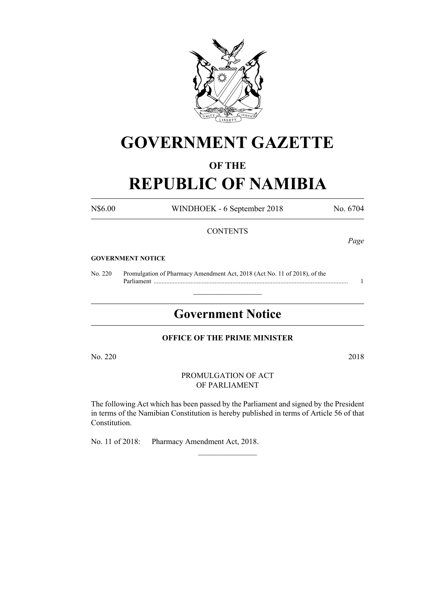

# **GOVERNMENT GAZETTE**

### **OF THE**

# **REPUBLIC OF NAMIBIA**

N\$6.00 WINDHOEK - 6 September 2018 No. 6704

#### **CONTENTS**

*Page*

#### **GOVERNMENT NOTICE**

No. 220 Promulgation of Pharmacy Amendment Act, 2018 (Act No. 11 of 2018), of the Parliament ......................................................................................................................... 1

## **Government Notice**

 $\frac{1}{2}$  ,  $\frac{1}{2}$  ,  $\frac{1}{2}$  ,  $\frac{1}{2}$  ,  $\frac{1}{2}$  ,  $\frac{1}{2}$  ,  $\frac{1}{2}$ 

#### **OFFICE OF THE PRIME MINISTER**

No. 220 2018

PROMULGATION OF ACT OF PARLIAMENT

The following Act which has been passed by the Parliament and signed by the President in terms of the Namibian Constitution is hereby published in terms of Article 56 of that Constitution.

 $\frac{1}{2}$ 

No. 11 of 2018: Pharmacy Amendment Act, 2018.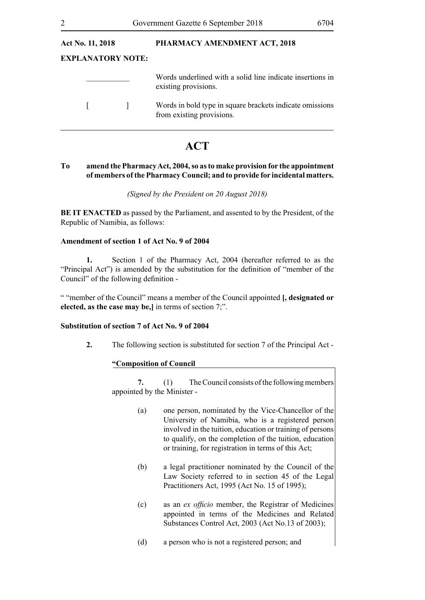| <b>Act No. 11, 2018</b> |                   | PHARMACY AMENDMENT ACT, 2018                                                          |
|-------------------------|-------------------|---------------------------------------------------------------------------------------|
|                         | EXPLANATORY NOTE: |                                                                                       |
|                         |                   | Words underlined with a solid line indicate insertions in<br>existing provisions.     |
|                         |                   | Words in bold type in square brackets indicate omissions<br>from existing provisions. |
|                         |                   |                                                                                       |

### **ACT**

#### **To amend the PharmacyAct, 2004, so asto make provision for the appointment of members ofthe Pharmacy Council; and to provide for incidental matters.**

#### *(Signed by the President on 20 August 2018)*

**BE IT ENACTED** as passed by the Parliament, and assented to by the President, of the Republic of Namibia, as follows:

#### **Amendment of section 1 of Act No. 9 of 2004**

**1.** Section 1 of the Pharmacy Act, 2004 (hereafter referred to as the "Principal Act") is amended by the substitution for the definition of "member of the Council" of the following definition -

" "member of the Council" means a member of the Council appointed **[, designated or elected, as the case may be,]** in terms of section 7;".

#### **Substitution of section 7 of Act No. 9 of 2004**

**2.** The following section is substituted for section 7 of the Principal Act -

#### **"Composition of Council**

**7.** (1) The Council consists of the following members appointed by the Minister -

- (a) one person, nominated by the Vice-Chancellor of the University of Namibia, who is a registered person involved in the tuition, education or training of persons to qualify, on the completion of the tuition, education or training, for registration in terms of this Act;
- (b) a legal practitioner nominated by the Council of the Law Society referred to in section 45 of the Legal Practitioners Act, 1995 (Act No. 15 of 1995);
- (c) as an *ex officio* member, the Registrar of Medicines appointed in terms of the Medicines and Related Substances Control Act, 2003 (Act No.13 of 2003);
- (d) a person who is not a registered person; and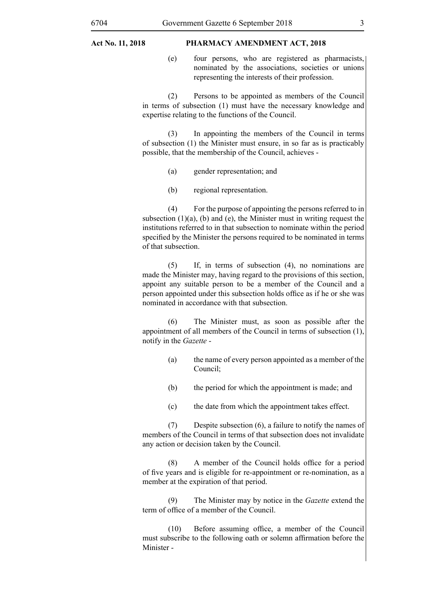#### **Act No. 11, 2018 PHARMACY AMENDMENT ACT, 2018**

(e) four persons, who are registered as pharmacists, nominated by the associations, societies or unions representing the interests of their profession.

(2) Persons to be appointed as members of the Council in terms of subsection (1) must have the necessary knowledge and expertise relating to the functions of the Council.

(3) In appointing the members of the Council in terms of subsection (1) the Minister must ensure, in so far as is practicably possible, that the membership of the Council, achieves -

- (a) gender representation; and
- (b) regional representation.

(4) For the purpose of appointing the persons referred to in subsection  $(1)(a)$ ,  $(b)$  and  $(e)$ , the Minister must in writing request the institutions referred to in that subsection to nominate within the period specified by the Minister the persons required to be nominated in terms of that subsection.

(5) If, in terms of subsection (4), no nominations are made the Minister may, having regard to the provisions of this section, appoint any suitable person to be a member of the Council and a person appointed under this subsection holds office as if he or she was nominated in accordance with that subsection.

(6) The Minister must, as soon as possible after the appointment of all members of the Council in terms of subsection (1), notify in the *Gazette* -

- (a) the name of every person appointed as a member of the Council;
- (b) the period for which the appointment is made; and
- (c) the date from which the appointment takes effect.

(7) Despite subsection (6), a failure to notify the names of members of the Council in terms of that subsection does not invalidate any action or decision taken by the Council.

(8) A member of the Council holds office for a period of five years and is eligible for re-appointment or re-nomination, as a member at the expiration of that period.

(9) The Minister may by notice in the *Gazette* extend the term of office of a member of the Council.

(10) Before assuming office, a member of the Council must subscribe to the following oath or solemn affirmation before the Minister -